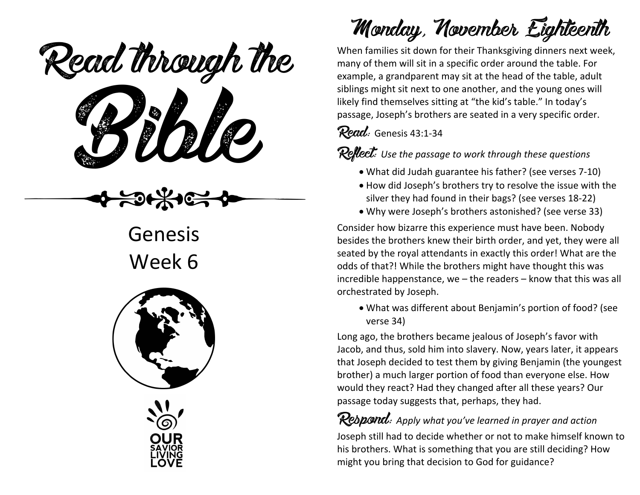eaa mough u Read through the

Genesis Week 6





## Monday, November Eighteenth

When families sit down for their Thanksgiving dinners next week, many of them will sit in a specific order around the table. For example, a grandparent may sit at the head of the table, adult siblings might sit next to one another, and the young ones will likely find themselves sitting at "the kid's table." In today's passage, Joseph's brothers are seated in a very specific order.

Read: Genesis 43:1-34

Reflect: *Use the passage to work through these questions*

- What did Judah guarantee his father? (see verses 7-10)
- How did Joseph's brothers try to resolve the issue with the silver they had found in their bags? (see verses 18-22)
- Why were Joseph's brothers astonished? (see verse 33)

Consider how bizarre this experience must have been. Nobody besides the brothers knew their birth order, and yet, they were all seated by the royal attendants in exactly this order! What are the odds of that?! While the brothers might have thought this was incredible happenstance, we – the readers – know that this was all orchestrated by Joseph.

• What was different about Benjamin's portion of food? (see verse 34)

Long ago, the brothers became jealous of Joseph's favor with Jacob, and thus, sold him into slavery. Now, years later, it appears that Joseph decided to test them by giving Benjamin (the youngest brother) a much larger portion of food than everyone else. How would they react? Had they changed after all these years? Our passage today suggests that, perhaps, they had.

Respond: *Apply what you've learned in prayer and action* Joseph still had to decide whether or not to make himself known to his brothers. What is something that you are still deciding? How might you bring that decision to God for guidance?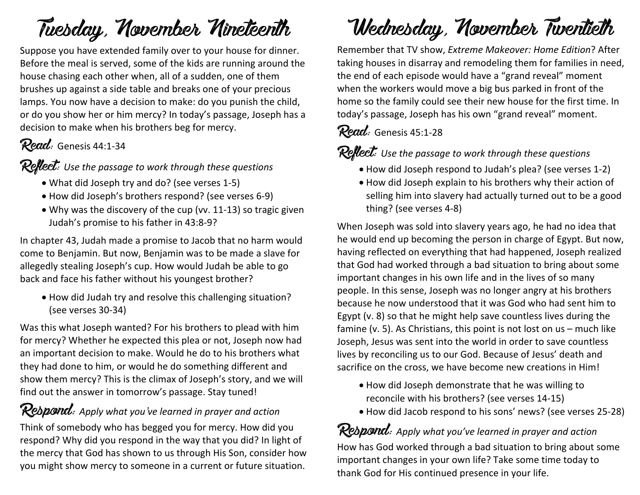### Tuesday, November Nineteenth

Suppose you have extended family over to your house for dinner. Before the meal is served, some of the kids are running around the house chasing each other when, all of a sudden, one of them brushes up against a side table and breaks one of your precious lamps. You now have a decision to make: do you punish the child, or do you show her or him mercy? In today's passage, Joseph has a decision to make when his brothers beg for mercy.

### Read: Genesis 44:1-34

Reflect: *Use the passage to work through these questions*

- What did Joseph try and do? (see verses 1-5)
- How did Joseph's brothers respond? (see verses 6-9)
- Why was the discovery of the cup (vv. 11-13) so tragic given Judah's promise to his father in 43:8-9?

In chapter 43, Judah made a promise to Jacob that no harm would come to Benjamin. But now, Benjamin was to be made a slave for allegedly stealing Joseph's cup. How would Judah be able to go back and face his father without his youngest brother?

• How did Judah try and resolve this challenging situation? (see verses 30-34)

Was this what Joseph wanted? For his brothers to plead with him for mercy? Whether he expected this plea or not, Joseph now had an important decision to make. Would he do to his brothers what they had done to him, or would he do something different and show them mercy? This is the climax of Joseph's story, and we will find out the answer in tomorrow's passage. Stay tuned!

#### Respond: *Apply what you've learned in prayer and action*

Think of somebody who has begged you for mercy. How did you respond? Why did you respond in the way that you did? In light of the mercy that God has shown to us through His Son, consider how you might show mercy to someone in a current or future situation.

## Wednesday, November Twentieth

Remember that TV show, *Extreme Makeover: Home Edition*? After taking houses in disarray and remodeling them for families in need, the end of each episode would have a "grand reveal" moment when the workers would move a big bus parked in front of the home so the family could see their new house for the first time. In today's passage, Joseph has his own "grand reveal" moment.

#### Read: Genesis 45:1-28

**Reflect:** Use the passage to work through these questions

- How did Joseph respond to Judah's plea? (see verses 1-2)
- How did Joseph explain to his brothers why their action of selling him into slavery had actually turned out to be a good thing? (see verses 4-8)

When Joseph was sold into slavery years ago, he had no idea that he would end up becoming the person in charge of Egypt. But now, having reflected on everything that had happened, Joseph realized that God had worked through a bad situation to bring about some important changes in his own life and in the lives of so many people. In this sense, Joseph was no longer angry at his brothers because he now understood that it was God who had sent him to Egypt (v. 8) so that he might help save countless lives during the famine (v. 5). As Christians, this point is not lost on us – much like Joseph, Jesus was sent into the world in order to save countless lives by reconciling us to our God. Because of Jesus' death and sacrifice on the cross, we have become new creations in Him!

- How did Joseph demonstrate that he was willing to reconcile with his brothers? (see verses 14-15)
- How did Jacob respond to his sons' news? (see verses 25-28)

Respond: *Apply what you've learned in prayer and action* How has God worked through a bad situation to bring about some important changes in your own life? Take some time today to thank God for His continued presence in your life.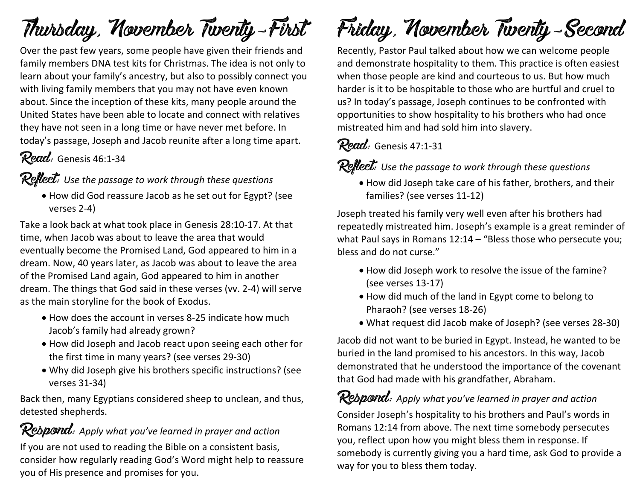## Thursday, November Twenty-First

Over the past few years, some people have given their friends and family members DNA test kits for Christmas. The idea is not only to learn about your family's ancestry, but also to possibly connect you with living family members that you may not have even known about. Since the inception of these kits, many people around the United States have been able to locate and connect with relatives they have not seen in a long time or have never met before. In today's passage, Joseph and Jacob reunite after a long time apart.

#### Read: Genesis 46:1-34

#### Reflect: *Use the passage to work through these questions*

• How did God reassure Jacob as he set out for Egypt? (see verses 2-4)

Take a look back at what took place in Genesis 28:10-17. At that time, when Jacob was about to leave the area that would eventually become the Promised Land, God appeared to him in a dream. Now, 40 years later, as Jacob was about to leave the area of the Promised Land again, God appeared to him in another dream. The things that God said in these verses (vv. 2-4) will serve as the main storyline for the book of Exodus.

- How does the account in verses 8-25 indicate how much Jacob's family had already grown?
- How did Joseph and Jacob react upon seeing each other for the first time in many years? (see verses 29-30)
- Why did Joseph give his brothers specific instructions? (see verses 31-34)

Back then, many Egyptians considered sheep to unclean, and thus, detested shepherds.

Rebpond: Apply what you've learned in prayer and action If you are not used to reading the Bible on a consistent basis, consider how regularly reading God's Word might help to reassure you of His presence and promises for you.

# Friday, November Twenty-Second

Recently, Pastor Paul talked about how we can welcome people and demonstrate hospitality to them. This practice is often easiest when those people are kind and courteous to us. But how much harder is it to be hospitable to those who are hurtful and cruel to us? In today's passage, Joseph continues to be confronted with opportunities to show hospitality to his brothers who had once mistreated him and had sold him into slavery.

#### Read: Genesis 47:1-31

Reflect: *Use the passage to work through these questions*

• How did Joseph take care of his father, brothers, and their families? (see verses 11-12)

Joseph treated his family very well even after his brothers had repeatedly mistreated him. Joseph's example is a great reminder of what Paul says in Romans 12:14 – "Bless those who persecute you; bless and do not curse."

- How did Joseph work to resolve the issue of the famine? (see verses 13-17)
- How did much of the land in Egypt come to belong to Pharaoh? (see verses 18-26)
- What request did Jacob make of Joseph? (see verses 28-30)

Jacob did not want to be buried in Egypt. Instead, he wanted to be buried in the land promised to his ancestors. In this way, Jacob demonstrated that he understood the importance of the covenant that God had made with his grandfather, Abraham.

#### Respond: *Apply what you've learned in prayer and action*

Consider Joseph's hospitality to his brothers and Paul's words in Romans 12:14 from above. The next time somebody persecutes you, reflect upon how you might bless them in response. If somebody is currently giving you a hard time, ask God to provide a way for you to bless them today.